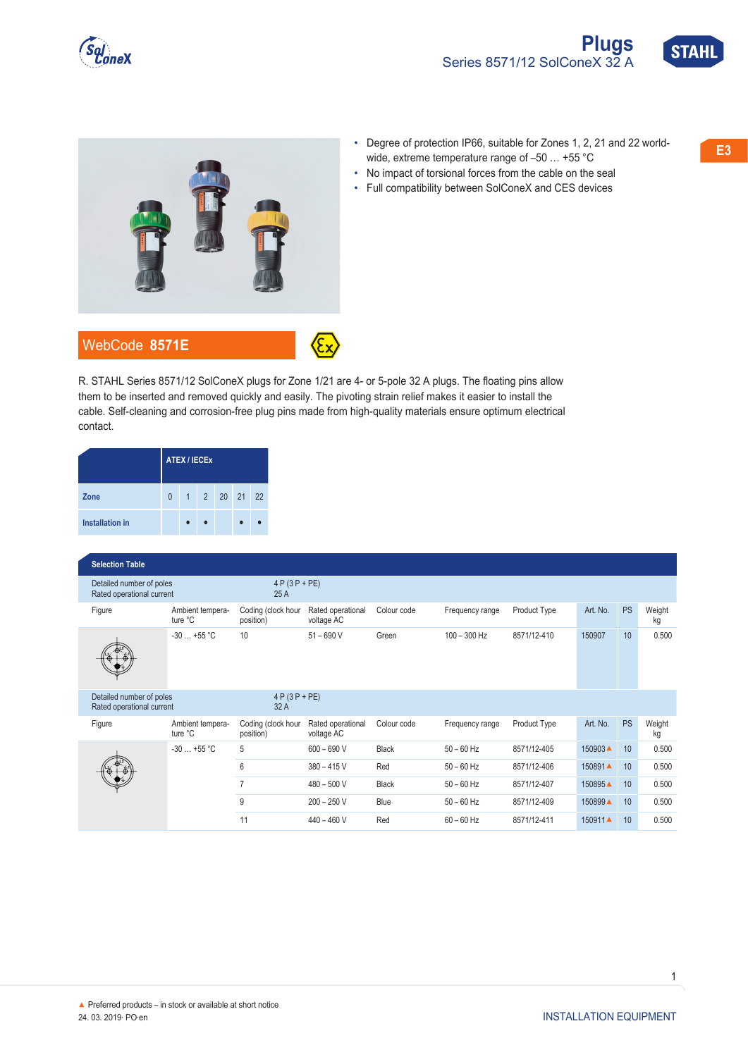





- Degree of protection IP66, suitable for Zones 1, 2, 21 and 22 world-<br>**E3** wide, extreme temperature range of –50 … +55 °C
- No impact of torsional forces from the cable on the seal
- Full compatibility between SolConeX and CES devices

R. STAHL Series 8571/12 SolConeX plugs for Zone 1/21 are 4- or 5-pole 32 A plugs. The floating pins allow them to be inserted and removed quickly and easily. The pivoting strain relief makes it easier to install the cable. Self-cleaning and corrosion-free plug pins made from high-quality materials ensure optimum electrical contact.

|                        |          | <b>ATEX / IECEX</b> |  |              |  |  |  |  |  |
|------------------------|----------|---------------------|--|--------------|--|--|--|--|--|
| Zone                   | $\Omega$ |                     |  | 1 2 20 21 22 |  |  |  |  |  |
| <b>Installation in</b> |          |                     |  |              |  |  |  |  |  |

| <b>Selection Table</b>                                |                             |                                 |                                 |             |                 |              |          |           |              |  |
|-------------------------------------------------------|-----------------------------|---------------------------------|---------------------------------|-------------|-----------------|--------------|----------|-----------|--------------|--|
| Detailed number of poles<br>Rated operational current |                             |                                 | $4 P (3 P + P E)$<br>25A        |             |                 |              |          |           |              |  |
| Figure                                                | Ambient tempera-<br>ture °C | Coding (clock hour<br>position) | Rated operational<br>voltage AC | Colour code | Frequency range | Product Type | Art. No. | <b>PS</b> | Weight<br>kg |  |
|                                                       | $-30+55$ °C                 | 10                              | $51 - 690$ V                    | Green       | $100 - 300$ Hz  | 8571/12-410  | 150907   | 10        | 0.500        |  |
| Detailed number of poles<br>Rated operational current |                             |                                 |                                 |             |                 |              |          |           |              |  |
|                                                       |                             | $4 P (3 P + P E)$<br>32A        |                                 |             |                 |              |          |           |              |  |
| Figure                                                | Ambient tempera-<br>ture °C | Coding (clock hour<br>position) | Rated operational<br>voltage AC | Colour code | Frequency range | Product Type | Art. No. | <b>PS</b> | Weight<br>kg |  |
|                                                       | $-30+55$ °C                 | 5                               | $600 - 690 V$                   | Black       | $50 - 60$ Hz    | 8571/12-405  | 150903▲  | 10        | 0.500        |  |
|                                                       |                             | 6                               | $380 - 415$ V                   | Red         | $50 - 60$ Hz    | 8571/12-406  | 150891▲  | 10        | 0.500        |  |
|                                                       |                             | $\overline{7}$                  | $480 - 500$ V                   | Black       | $50 - 60$ Hz    | 8571/12-407  | 150895▲  | 10        | 0.500        |  |
|                                                       |                             | 9                               | $200 - 250$ V                   | Blue        | $50 - 60$ Hz    | 8571/12-409  | 150899 ▲ | 10        | 0.500        |  |

1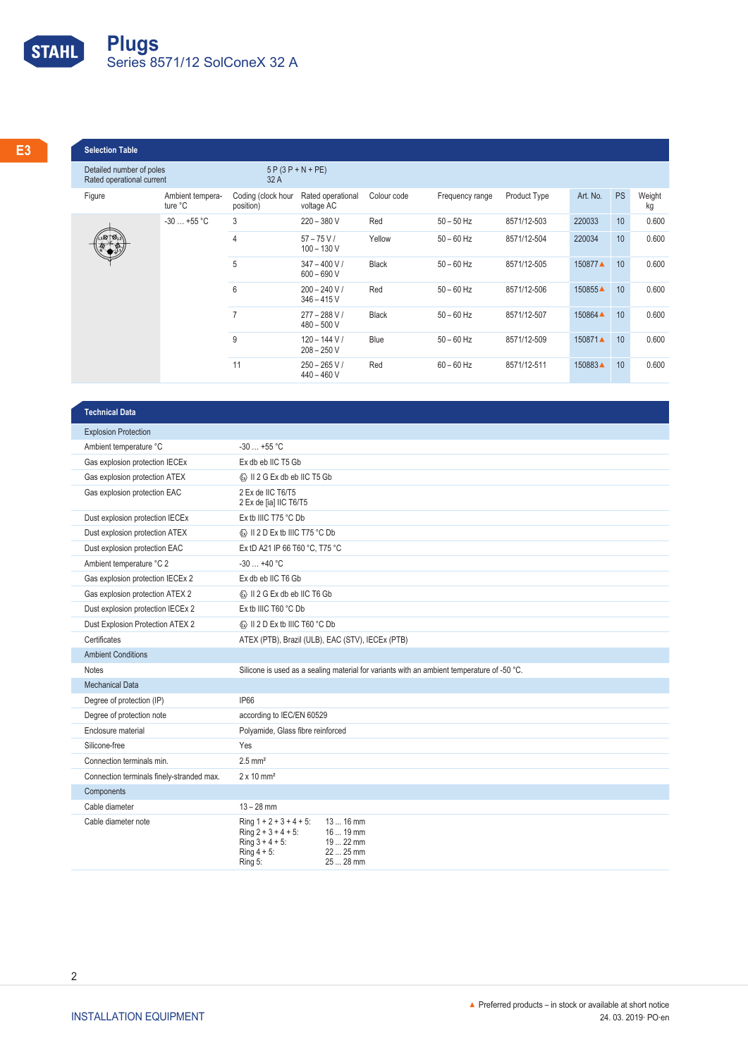

| <b>Selection Table</b>                                |                             |           |                                                                |                                 |                              |              |             |            |                          |
|-------------------------------------------------------|-----------------------------|-----------|----------------------------------------------------------------|---------------------------------|------------------------------|--------------|-------------|------------|--------------------------|
| Detailed number of poles<br>Rated operational current |                             | 32A       | $5P(3P+N+PE)$                                                  |                                 |                              |              |             |            |                          |
| Figure                                                | Ambient tempera-<br>ture °C | position) | Coding (clock hour Rated operational Colour code<br>voltage AC |                                 | Frequency range Product Type |              |             |            | Art. No. PS Weight<br>kg |
|                                                       | $-30+55 °C$                 |           | $220 - 380$ V                                                  | Red                             | $50 - 50$ Hz                 | 8571/12-503  | 220033      | 10         | 0.600                    |
| $\frac{1}{2}$                                         |                             |           | $57 - 75 V/$<br>$100 - 130 V$                                  | Yellow                          | $50 - 60$ Hz                 | 8571/12-504  | 220034      | 10         | 0.600                    |
|                                                       |                             |           | $347 - 400 V/$<br>$600 - 690 V$                                | Black                           | $50 - 60$ Hz                 | 8571/12-505  | 150877▲ 10  |            | 0.600                    |
|                                                       |                             |           | $200 - 240 V/$<br>$346 - 415$ V                                | Red                             | $50 - 60$ Hz                 | 8571/12-506  | 150855▲ 10  |            | 0.600                    |
|                                                       |                             |           |                                                                | $277 - 288 V/$<br>$480 - 500$ V | Black                        | $50 - 60$ Hz | 8571/12-507 | 150864▲ 10 |                          |
|                                                       |                             |           | $120 - 144 V/$<br>$208 - 250$ V                                | Blue                            | $50 - 60$ Hz                 | 8571/12-509  | 150871▲ 10  |            | 0.600                    |
|                                                       |                             | 11        | $250 - 265 V/$<br>$440 - 460 V$                                | Red                             | $60 - 60$ Hz                 | 8571/12-511  | 150883▲ 10  |            | 0.600                    |

| <b>Technical Data</b>                     |                                                                                                                                                                         |  |  |  |  |  |  |  |
|-------------------------------------------|-------------------------------------------------------------------------------------------------------------------------------------------------------------------------|--|--|--|--|--|--|--|
| <b>Explosion Protection</b>               |                                                                                                                                                                         |  |  |  |  |  |  |  |
| Ambient temperature °C                    | $-30+55$ °C                                                                                                                                                             |  |  |  |  |  |  |  |
| Gas explosion protection IECEx            | Ex db eb IIC T5 Gb                                                                                                                                                      |  |  |  |  |  |  |  |
| Gas explosion protection ATEX             | ta II 2 G Ex db eb IIC T5 Gb                                                                                                                                            |  |  |  |  |  |  |  |
| Gas explosion protection EAC              | 2 Ex de IIC T6/T5<br>2 Ex de [ia] IIC T6/T5                                                                                                                             |  |  |  |  |  |  |  |
| Dust explosion protection IECEx           | Ex tb IIIC T75 °C Db                                                                                                                                                    |  |  |  |  |  |  |  |
| Dust explosion protection ATEX            | <b>E</b> II 2 D Ex tb IIIC T75 °C Db                                                                                                                                    |  |  |  |  |  |  |  |
| Dust explosion protection EAC             | Ex tD A21 IP 66 T60 °C, T75 °C                                                                                                                                          |  |  |  |  |  |  |  |
| Ambient temperature °C 2                  | $-30+40$ °C                                                                                                                                                             |  |  |  |  |  |  |  |
| Gas explosion protection IECEx 2          | Ex db eb IIC T6 Gb                                                                                                                                                      |  |  |  |  |  |  |  |
| Gas explosion protection ATEX 2           | ta II 2 G Ex db eb IIC T6 Gb                                                                                                                                            |  |  |  |  |  |  |  |
| Dust explosion protection IECEx 2         | Ex tb IIIC T60 °C Db                                                                                                                                                    |  |  |  |  |  |  |  |
| Dust Explosion Protection ATEX 2          |                                                                                                                                                                         |  |  |  |  |  |  |  |
| Certificates                              | ATEX (PTB), Brazil (ULB), EAC (STV), IECEx (PTB)                                                                                                                        |  |  |  |  |  |  |  |
| <b>Ambient Conditions</b>                 |                                                                                                                                                                         |  |  |  |  |  |  |  |
| <b>Notes</b>                              | Silicone is used as a sealing material for variants with an ambient temperature of -50 °C.                                                                              |  |  |  |  |  |  |  |
| <b>Mechanical Data</b>                    |                                                                                                                                                                         |  |  |  |  |  |  |  |
| Degree of protection (IP)                 | <b>IP66</b>                                                                                                                                                             |  |  |  |  |  |  |  |
| Degree of protection note                 | according to IEC/EN 60529                                                                                                                                               |  |  |  |  |  |  |  |
| Enclosure material                        | Polyamide, Glass fibre reinforced                                                                                                                                       |  |  |  |  |  |  |  |
| Silicone-free                             | Yes                                                                                                                                                                     |  |  |  |  |  |  |  |
| Connection terminals min.                 | $2.5$ mm <sup>2</sup>                                                                                                                                                   |  |  |  |  |  |  |  |
| Connection terminals finely-stranded max. | $2 \times 10$ mm <sup>2</sup>                                                                                                                                           |  |  |  |  |  |  |  |
| Components                                |                                                                                                                                                                         |  |  |  |  |  |  |  |
| Cable diameter                            | $13 - 28$ mm                                                                                                                                                            |  |  |  |  |  |  |  |
| Cable diameter note                       | 13  16 mm<br>Ring $1 + 2 + 3 + 4 + 5$ :<br>$Ring 2 + 3 + 4 + 5:$<br>16  19 mm<br>Ring $3 + 4 + 5$ :<br>19  22 mm<br>22  25 mm<br>Ring $4 + 5$ :<br>25  28 mm<br>Ring 5: |  |  |  |  |  |  |  |

2